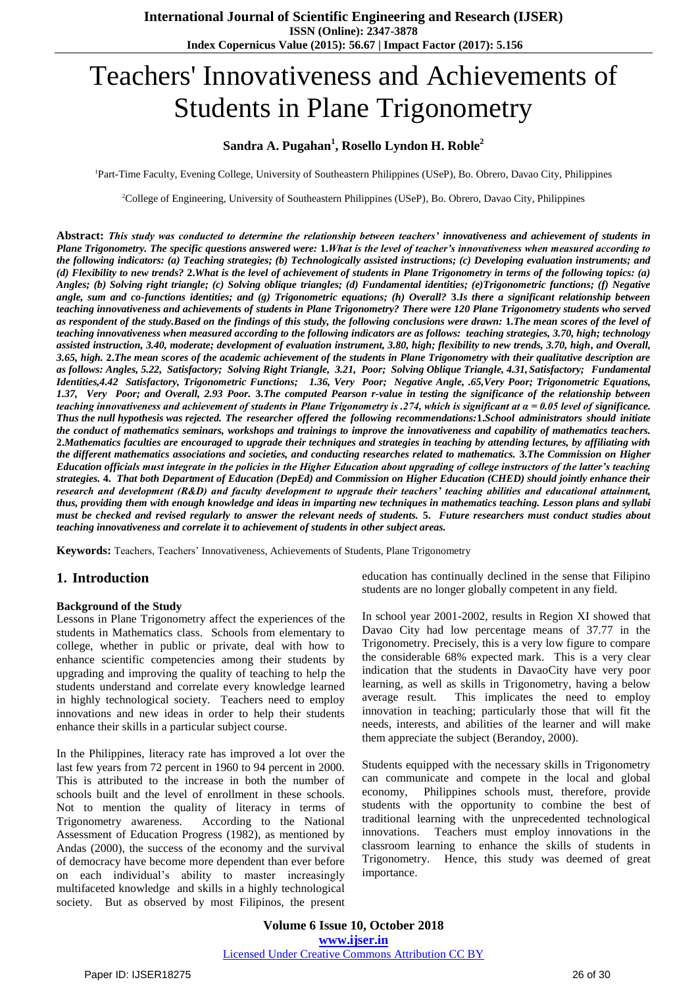# Teachers' Innovativeness and Achievements of Students in Plane Trigonometry

### **Sandra A. Pugahan<sup>1</sup> , Rosello Lyndon H. Roble<sup>2</sup>**

<sup>1</sup>Part-Time Faculty, Evening College, University of Southeastern Philippines (USeP), Bo. Obrero, Davao City, Philippines

<sup>2</sup>College of Engineering, University of Southeastern Philippines (USeP), Bo. Obrero, Davao City, Philippines

**Abstract:** *This study was conducted to determine the relationship between teachers' innovativeness and achievement of students in Plane Trigonometry. The specific questions answered were:* **1.***What is the level of teacher's innovativeness when measured according to the following indicators: (a) Teaching strategies; (b) Technologically assisted instructions; (c) Developing evaluation instruments; and (d) Flexibility to new trends?* **2.***What is the level of achievement of students in Plane Trigonometry in terms of the following topics: (a) Angles; (b) Solving right triangle; (c) Solving oblique triangles; (d) Fundamental identities; (e)Trigonometric functions; (f) Negative angle, sum and co-functions identities; and (g) Trigonometric equations; (h) Overall?* **3.***Is there a significant relationship between teaching innovativeness and achievements of students in Plane Trigonometry? There were 120 Plane Trigonometry students who served as respondent of the study.Based on the findings of this study, the following conclusions were drawn:* **1.***The mean scores of the level of teaching innovativeness when measured according to the following indicators are as follows: teaching strategies, 3.70, high; technology assisted instruction, 3.40, moderate; development of evaluation instrument, 3.80, high; flexibility to new trends, 3.70, high, and Overall, 3.65, high.* **2.***The mean scores of the academic achievement of the students in Plane Trigonometry with their qualitative description are as follows: Angles, 5.22, Satisfactory; Solving Right Triangle, 3.21, Poor; Solving Oblique Triangle, 4.31, Satisfactory; Fundamental Identities,4.42 Satisfactory, Trigonometric Functions; 1.36, Very Poor; Negative Angle, .65,Very Poor; Trigonometric Equations, 1.37, Very Poor; and Overall, 2.93 Poor.* **3.***The computed Pearson r-value in testing the significance of the relationship between teaching innovativeness and achievement of students in Plane Trigonometry is .274, which is significant at α = 0.05 level of significance. Thus the null hypothesis was rejected. The researcher offered the following recommendations:***1.***School administrators should initiate the conduct of mathematics seminars, workshops and trainings to improve the innovativeness and capability of mathematics teachers.* **2.***Mathematics faculties are encouraged to upgrade their techniques and strategies in teaching by attending lectures, by affiliating with the different mathematics associations and societies, and conducting researches related to mathematics.* **3.***The Commission on Higher Education officials must integrate in the policies in the Higher Education about upgrading of college instructors of the latter's teaching strategies.* **4.** *That both Department of Education (DepEd) and Commission on Higher Education (CHED) should jointly enhance their research and development (R&D) and faculty development to upgrade their teachers' teaching abilities and educational attainment, thus, providing them with enough knowledge and ideas in imparting new techniques in mathematics teaching. Lesson plans and syllabi must be checked and revised regularly to answer the relevant needs of students.* **5.** *Future researchers must conduct studies about teaching innovativeness and correlate it to achievement of students in other subject areas.*

**Keywords:** Teachers, Teachers' Innovativeness, Achievements of Students, Plane Trigonometry

# **1. Introduction**

#### **Background of the Study**

Lessons in Plane Trigonometry affect the experiences of the students in Mathematics class. Schools from elementary to college, whether in public or private, deal with how to enhance scientific competencies among their students by upgrading and improving the quality of teaching to help the students understand and correlate every knowledge learned in highly technological society. Teachers need to employ innovations and new ideas in order to help their students enhance their skills in a particular subject course.

In the Philippines, literacy rate has improved a lot over the last few years from 72 percent in 1960 to 94 percent in 2000. This is attributed to the increase in both the number of schools built and the level of enrollment in these schools. Not to mention the quality of literacy in terms of Trigonometry awareness. According to the National Assessment of Education Progress (1982), as mentioned by Andas (2000), the success of the economy and the survival of democracy have become more dependent than ever before on each individual's ability to master increasingly multifaceted knowledge and skills in a highly technological society. But as observed by most Filipinos, the present

education has continually declined in the sense that Filipino students are no longer globally competent in any field.

In school year 2001-2002, results in Region XI showed that Davao City had low percentage means of 37.77 in the Trigonometry. Precisely, this is a very low figure to compare the considerable 68% expected mark. This is a very clear indication that the students in DavaoCity have very poor learning, as well as skills in Trigonometry, having a below average result. This implicates the need to employ innovation in teaching; particularly those that will fit the needs, interests, and abilities of the learner and will make them appreciate the subject (Berandoy, 2000).

Students equipped with the necessary skills in Trigonometry can communicate and compete in the local and global economy, Philippines schools must, therefore, provide students with the opportunity to combine the best of traditional learning with the unprecedented technological innovations. Teachers must employ innovations in the classroom learning to enhance the skills of students in Trigonometry. Hence, this study was deemed of great importance.

**Volume 6 Issue 10, October 2018 www.ijser.in** Licensed Under Creative Commons Attribution CC BY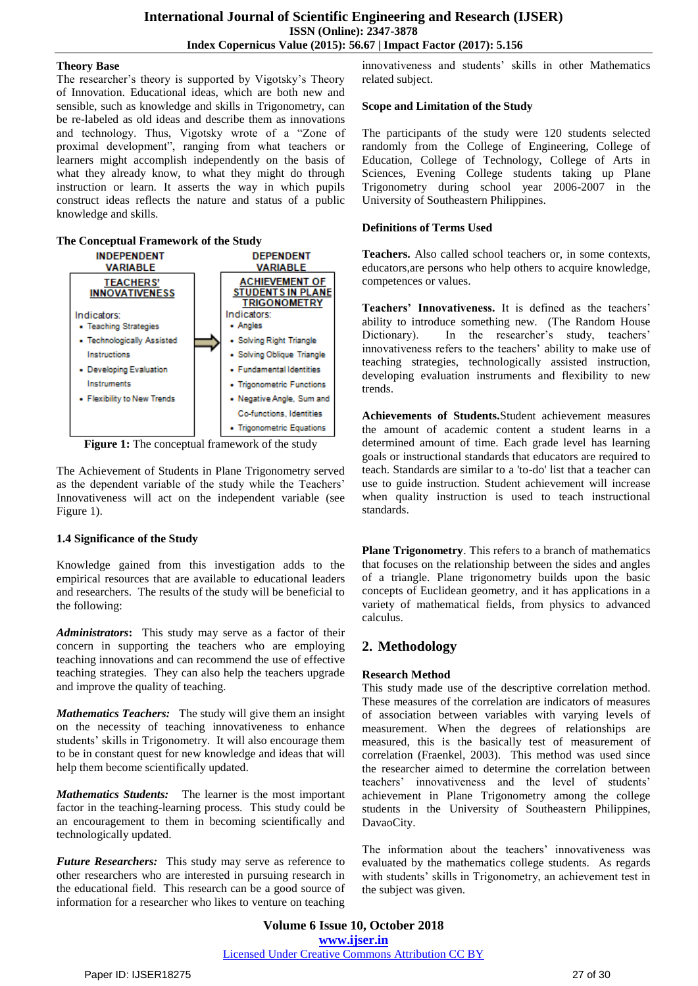#### **Theory Base**

The researcher's theory is supported by Vigotsky's Theory of Innovation. Educational ideas, which are both new and sensible, such as knowledge and skills in Trigonometry, can be re-labeled as old ideas and describe them as innovations and technology. Thus, Vigotsky wrote of a "Zone of proximal development", ranging from what teachers or learners might accomplish independently on the basis of what they already know, to what they might do through instruction or learn. It asserts the way in which pupils construct ideas reflects the nature and status of a public knowledge and skills.

#### **The Conceptual Framework of the Study**



**Figure 1:** The conceptual framework of the study

The Achievement of Students in Plane Trigonometry served as the dependent variable of the study while the Teachers' Innovativeness will act on the independent variable (see Figure 1).

#### **1.4 Significance of the Study**

Knowledge gained from this investigation adds to the empirical resources that are available to educational leaders and researchers. The results of the study will be beneficial to the following:

*Administrators***:** This study may serve as a factor of their concern in supporting the teachers who are employing teaching innovations and can recommend the use of effective teaching strategies. They can also help the teachers upgrade and improve the quality of teaching.

*Mathematics Teachers:* The study will give them an insight on the necessity of teaching innovativeness to enhance students' skills in Trigonometry. It will also encourage them to be in constant quest for new knowledge and ideas that will help them become scientifically updated.

*Mathematics Students:* The learner is the most important factor in the teaching-learning process. This study could be an encouragement to them in becoming scientifically and technologically updated.

*Future Researchers:* This study may serve as reference to other researchers who are interested in pursuing research in the educational field. This research can be a good source of information for a researcher who likes to venture on teaching

innovativeness and students' skills in other Mathematics related subject.

#### **Scope and Limitation of the Study**

The participants of the study were 120 students selected randomly from the College of Engineering, College of Education, College of Technology, College of Arts in Sciences, Evening College students taking up Plane Trigonometry during school year 2006-2007 in the University of Southeastern Philippines.

#### **Definitions of Terms Used**

**Teachers.** Also called school teachers or, in some contexts, educators,are persons who help others to acquire knowledge, competences or values.

**Teachers' Innovativeness.** It is defined as the teachers' ability to introduce something new. (The Random House Dictionary). In the researcher's study, teachers' innovativeness refers to the teachers' ability to make use of teaching strategies, technologically assisted instruction, developing evaluation instruments and flexibility to new trends.

**Achievements of Students.**Student achievement measures the amount of academic content a student learns in a determined amount of time. Each grade level has learning goals or instructional standards that educators are required to teach. Standards are similar to a 'to-do' list that a teacher can use to guide instruction. Student achievement will increase when quality instruction is used to teach instructional standards.

**Plane Trigonometry**. This refers to a branch of mathematics that focuses on the relationship between the sides and angles of a triangle. Plane trigonometry builds upon the basic concepts of Euclidean geometry, and it has applications in a variety of mathematical fields, from physics to advanced calculus.

# **2. Methodology**

#### **Research Method**

This study made use of the descriptive correlation method. These measures of the correlation are indicators of measures of association between variables with varying levels of measurement. When the degrees of relationships are measured, this is the basically test of measurement of correlation (Fraenkel, 2003). This method was used since the researcher aimed to determine the correlation between teachers' innovativeness and the level of students' achievement in Plane Trigonometry among the college students in the University of Southeastern Philippines, DavaoCity.

The information about the teachers' innovativeness was evaluated by the mathematics college students. As regards with students' skills in Trigonometry, an achievement test in the subject was given.

**Volume 6 Issue 10, October 2018 www.ijser.in** Licensed Under Creative Commons Attribution CC BY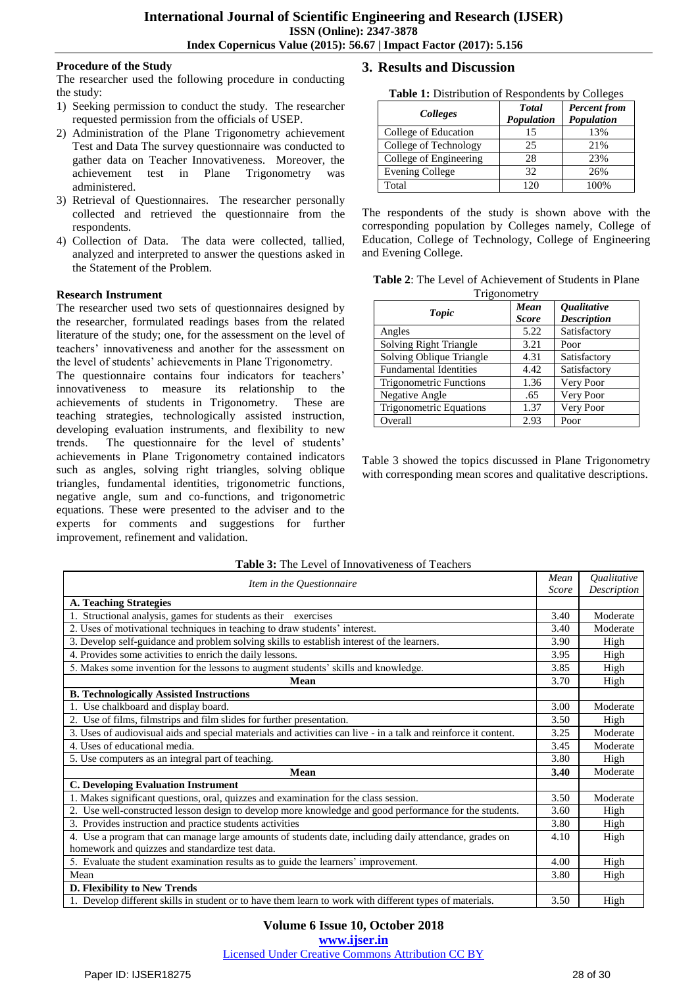#### **Procedure of the Study**

The researcher used the following procedure in conducting the study:

- 1) Seeking permission to conduct the study. The researcher requested permission from the officials of USEP.
- 2) Administration of the Plane Trigonometry achievement Test and Data The survey questionnaire was conducted to gather data on Teacher Innovativeness. Moreover, the achievement test in Plane Trigonometry was administered.
- 3) Retrieval of Questionnaires. The researcher personally collected and retrieved the questionnaire from the respondents.
- 4) Collection of Data. The data were collected, tallied, analyzed and interpreted to answer the questions asked in the Statement of the Problem.

#### **Research Instrument**

The researcher used two sets of questionnaires designed by the researcher, formulated readings bases from the related literature of the study; one, for the assessment on the level of teachers' innovativeness and another for the assessment on the level of students' achievements in Plane Trigonometry.

The questionnaire contains four indicators for teachers' innovativeness to measure its relationship to the achievements of students in Trigonometry. These are teaching strategies, technologically assisted instruction, developing evaluation instruments, and flexibility to new trends. The questionnaire for the level of students' achievements in Plane Trigonometry contained indicators such as angles, solving right triangles, solving oblique triangles, fundamental identities, trigonometric functions, negative angle, sum and co-functions, and trigonometric equations. These were presented to the adviser and to the experts for comments and suggestions for further improvement, refinement and validation.

# **3. Results and Discussion**

**Table 1:** Distribution of Respondents by Colleges

| Colleges               | <b>Total</b><br>Population | <b>Percent</b> from<br>Population |
|------------------------|----------------------------|-----------------------------------|
| College of Education   | 15                         | 13%                               |
| College of Technology  | 25                         | 21%                               |
| College of Engineering | 28                         | 23%                               |
| Evening College        | 32                         | 26%                               |
| Total                  | 120                        | 100%                              |

The respondents of the study is shown above with the corresponding population by Colleges namely, College of Education, College of Technology, College of Engineering and Evening College.

**Table 2**: The Level of Achievement of Students in Plane **Trigonometry** 

| <b>Topic</b>                   | Mean<br><b>Score</b> | <i><b>Qualitative</b></i><br><b>Description</b> |
|--------------------------------|----------------------|-------------------------------------------------|
| Angles                         | 5.22                 | Satisfactory                                    |
| Solving Right Triangle         | 3.21                 | Poor                                            |
| Solving Oblique Triangle       | 4.31                 | Satisfactory                                    |
| <b>Fundamental Identities</b>  | 4.42                 | Satisfactory                                    |
| <b>Trigonometric Functions</b> | 1.36                 | Very Poor                                       |
| Negative Angle                 | .65                  | Very Poor                                       |
| Trigonometric Equations        | 1.37                 | Very Poor                                       |
| Overall                        | 2.93                 | Poor                                            |

Table 3 showed the topics discussed in Plane Trigonometry with corresponding mean scores and qualitative descriptions.

| Item in the Questionnaire                                                                                       |      | Qualitative |
|-----------------------------------------------------------------------------------------------------------------|------|-------------|
|                                                                                                                 |      | Description |
| <b>A. Teaching Strategies</b>                                                                                   |      |             |
| Structional analysis, games for students as their exercises                                                     | 3.40 | Moderate    |
| 2. Uses of motivational techniques in teaching to draw students' interest.                                      | 3.40 | Moderate    |
| 3. Develop self-guidance and problem solving skills to establish interest of the learners.                      | 3.90 | High        |
| 4. Provides some activities to enrich the daily lessons.                                                        | 3.95 | High        |
| 5. Makes some invention for the lessons to augment students' skills and knowledge.                              | 3.85 | High        |
| Mean                                                                                                            | 3.70 | High        |
| <b>B. Technologically Assisted Instructions</b>                                                                 |      |             |
| 1. Use chalkboard and display board.                                                                            | 3.00 | Moderate    |
| 2. Use of films, filmstrips and film slides for further presentation.                                           | 3.50 | High        |
| 3. Uses of audiovisual aids and special materials and activities can live - in a talk and reinforce it content. | 3.25 | Moderate    |
| 4. Uses of educational media.                                                                                   | 3.45 | Moderate    |
| 5. Use computers as an integral part of teaching.                                                               | 3.80 | High        |
| <b>Mean</b>                                                                                                     | 3.40 | Moderate    |
| <b>C. Developing Evaluation Instrument</b>                                                                      |      |             |
| 1. Makes significant questions, oral, quizzes and examination for the class session.                            | 3.50 | Moderate    |
| 2. Use well-constructed lesson design to develop more knowledge and good performance for the students.          |      | High        |
| 3. Provides instruction and practice students activities                                                        | 3.80 | High        |
| 4. Use a program that can manage large amounts of students date, including daily attendance, grades on          |      | High        |
| homework and quizzes and standardize test data.                                                                 |      |             |
| 5. Evaluate the student examination results as to guide the learners' improvement.                              | 4.00 | High        |
| Mean                                                                                                            | 3.80 | High        |
| D. Flexibility to New Trends                                                                                    |      |             |
| 1. Develop different skills in student or to have them learn to work with different types of materials.         | 3.50 | High        |

#### **Table 3:** The Level of Innovativeness of Teachers

**Volume 6 Issue 10, October 2018**

**www.ijser.in**

Licensed Under Creative Commons Attribution CC BY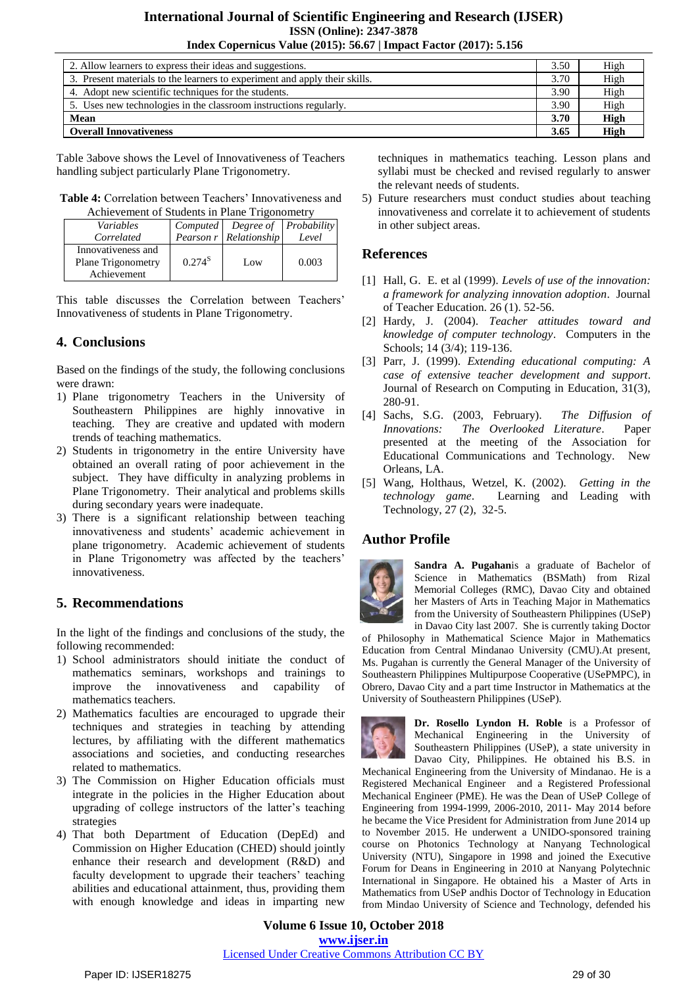| 2. Allow learners to express their ideas and suggestions.                  | 3.50 | High        |
|----------------------------------------------------------------------------|------|-------------|
| 3. Present materials to the learners to experiment and apply their skills. | 3.70 | High        |
| 4. Adopt new scientific techniques for the students.                       | 3.90 | High        |
| 5. Uses new technologies in the classroom instructions regularly.          | 3.90 | High        |
| Mean                                                                       |      | <b>High</b> |
| <b>Overall Innovativeness</b>                                              | 3.65 | High        |

Table 3above shows the Level of Innovativeness of Teachers handling subject particularly Plane Trigonometry.

| <b>Table 4:</b> Correlation between Teachers' Innovativeness and |
|------------------------------------------------------------------|
| Achievement of Students in Plane Trigonometry                    |

| t ichic venient of biddents in 1 mile Trigonomed y             |                 |                        |       |
|----------------------------------------------------------------|-----------------|------------------------|-------|
| Variables                                                      | <i>Computed</i> | Degree of Probability  |       |
| Correlated                                                     |                 | Pearson r Relationship | Level |
| Innovativeness and<br><b>Plane Trigonometry</b><br>Achievement | $0.274^{S}$     | Low                    | 0.003 |

This table discusses the Correlation between Teachers' Innovativeness of students in Plane Trigonometry.

# **4. Conclusions**

Based on the findings of the study, the following conclusions were drawn:

- 1) Plane trigonometry Teachers in the University of Southeastern Philippines are highly innovative in teaching. They are creative and updated with modern trends of teaching mathematics.
- 2) Students in trigonometry in the entire University have obtained an overall rating of poor achievement in the subject. They have difficulty in analyzing problems in Plane Trigonometry. Their analytical and problems skills during secondary years were inadequate.
- 3) There is a significant relationship between teaching innovativeness and students' academic achievement in plane trigonometry. Academic achievement of students in Plane Trigonometry was affected by the teachers' innovativeness.

# **5. Recommendations**

In the light of the findings and conclusions of the study, the following recommended:

- 1) School administrators should initiate the conduct of mathematics seminars, workshops and trainings to improve the innovativeness and capability of mathematics teachers.
- 2) Mathematics faculties are encouraged to upgrade their techniques and strategies in teaching by attending lectures, by affiliating with the different mathematics associations and societies, and conducting researches related to mathematics.
- 3) The Commission on Higher Education officials must integrate in the policies in the Higher Education about upgrading of college instructors of the latter's teaching strategies
- 4) That both Department of Education (DepEd) and Commission on Higher Education (CHED) should jointly enhance their research and development (R&D) and faculty development to upgrade their teachers' teaching abilities and educational attainment, thus, providing them with enough knowledge and ideas in imparting new

techniques in mathematics teaching. Lesson plans and syllabi must be checked and revised regularly to answer the relevant needs of students.

5) Future researchers must conduct studies about teaching innovativeness and correlate it to achievement of students in other subject areas.

# **References**

- [1] Hall, G. E. et al (1999). *Levels of use of the innovation: a framework for analyzing innovation adoption*. Journal of Teacher Education. 26 (1). 52-56.
- [2] Hardy, J. (2004). *Teacher attitudes toward and knowledge of computer technology*. Computers in the Schools; 14 (3/4); 119-136.
- [3] Parr, J. (1999). *Extending educational computing: A case of extensive teacher development and support*. Journal of Research on Computing in Education, 31(3), 280-91.
- [4] Sachs, S.G. (2003, February). *The Diffusion of Innovations: The Overlooked Literature*. Paper presented at the meeting of the Association for Educational Communications and Technology. New Orleans, LA.
- [5] Wang, Holthaus, Wetzel, K. (2002). *Getting in the technology game*. Learning and Leading with Technology, 27 (2), 32-5.

# **Author Profile**



**Sandra A. Pugahan**is a graduate of Bachelor of Science in Mathematics (BSMath) from Rizal Memorial Colleges (RMC), Davao City and obtained her Masters of Arts in Teaching Major in Mathematics from the University of Southeastern Philippines (USeP) in Davao City last 2007. She is currently taking Doctor

of Philosophy in Mathematical Science Major in Mathematics Education from Central Mindanao University (CMU).At present, Ms. Pugahan is currently the General Manager of the University of Southeastern Philippines Multipurpose Cooperative (USePMPC), in Obrero, Davao City and a part time Instructor in Mathematics at the University of Southeastern Philippines (USeP).



**Dr. Rosello Lyndon H. Roble** is a Professor of Mechanical Engineering in the University of Southeastern Philippines (USeP), a state university in Davao City, Philippines. He obtained his B.S. in

Mechanical Engineering from the University of Mindanao. He is a Registered Mechanical Engineer and a Registered Professional Mechanical Engineer (PME). He was the Dean of USeP College of Engineering from 1994-1999, 2006-2010, 2011- May 2014 before he became the Vice President for Administration from June 2014 up to November 2015. He underwent a UNIDO-sponsored training course on Photonics Technology at Nanyang Technological University (NTU), Singapore in 1998 and joined the Executive Forum for Deans in Engineering in 2010 at Nanyang Polytechnic International in Singapore. He obtained his a Master of Arts in Mathematics from USeP andhis Doctor of Technology in Education from Mindao University of Science and Technology, defended his

**Volume 6 Issue 10, October 2018 www.ijser.in** Licensed Under Creative Commons Attribution CC BY